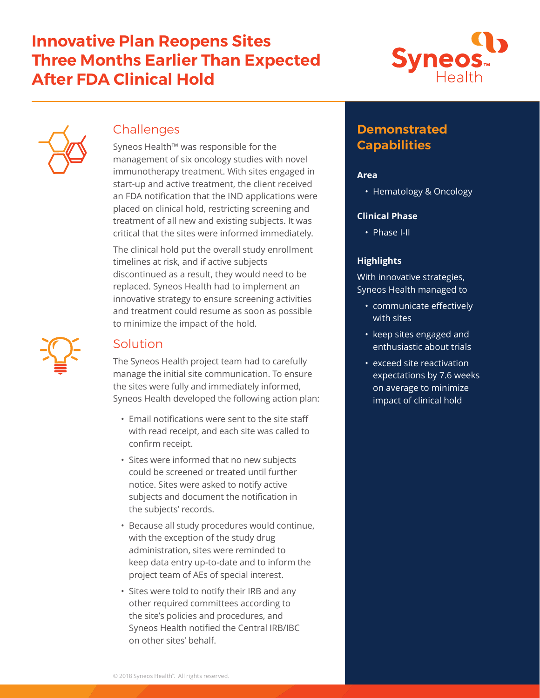# **Innovative Plan Reopens Sites Three Months Earlier Than Expected After FDA Clinical Hold**





## **Challenges**

Syneos Health™ was responsible for the management of six oncology studies with novel immunotherapy treatment. With sites engaged in start-up and active treatment, the client received an FDA notification that the IND applications were placed on clinical hold, restricting screening and treatment of all new and existing subjects. It was critical that the sites were informed immediately.

The clinical hold put the overall study enrollment timelines at risk, and if active subjects discontinued as a result, they would need to be replaced. Syneos Health had to implement an innovative strategy to ensure screening activities and treatment could resume as soon as possible to minimize the impact of the hold.

### Solution

The Syneos Health project team had to carefully manage the initial site communication. To ensure the sites were fully and immediately informed, Syneos Health developed the following action plan:

- Email notifications were sent to the site staff with read receipt, and each site was called to confirm receipt.
- Sites were informed that no new subjects could be screened or treated until further notice. Sites were asked to notify active subjects and document the notification in the subjects' records.
- Because all study procedures would continue, with the exception of the study drug administration, sites were reminded to keep data entry up-to-date and to inform the project team of AEs of special interest.
- Sites were told to notify their IRB and any other required committees according to the site's policies and procedures, and Syneos Health notified the Central IRB/IBC on other sites' behalf.

# **Demonstrated Capabilities**

### **Area**

• Hematology & Oncology

### **Clinical Phase**

• Phase I-II

### **Highlights**

With innovative strategies, Syneos Health managed to

- communicate effectively with sites
- keep sites engaged and enthusiastic about trials
- exceed site reactivation expectations by 7.6 weeks on average to minimize impact of clinical hold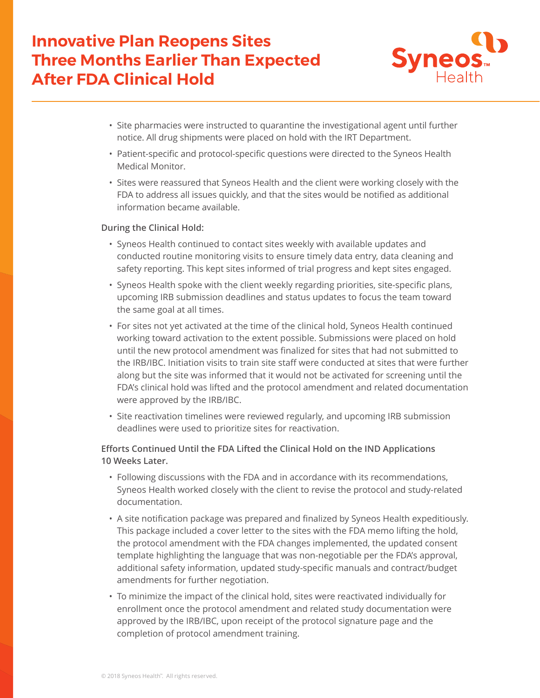# **Innovative Plan Reopens Sites Three Months Earlier Than Expected After FDA Clinical Hold**



- Site pharmacies were instructed to quarantine the investigational agent until further notice. All drug shipments were placed on hold with the IRT Department.
- Patient-specific and protocol-specific questions were directed to the Syneos Health Medical Monitor.
- Sites were reassured that Syneos Health and the client were working closely with the FDA to address all issues quickly, and that the sites would be notified as additional information became available.

#### **During the Clinical Hold:**

- Syneos Health continued to contact sites weekly with available updates and conducted routine monitoring visits to ensure timely data entry, data cleaning and safety reporting. This kept sites informed of trial progress and kept sites engaged.
- Syneos Health spoke with the client weekly regarding priorities, site-specific plans, upcoming IRB submission deadlines and status updates to focus the team toward the same goal at all times.
- For sites not yet activated at the time of the clinical hold, Syneos Health continued working toward activation to the extent possible. Submissions were placed on hold until the new protocol amendment was finalized for sites that had not submitted to the IRB/IBC. Initiation visits to train site staff were conducted at sites that were further along but the site was informed that it would not be activated for screening until the FDA's clinical hold was lifted and the protocol amendment and related documentation were approved by the IRB/IBC.
- Site reactivation timelines were reviewed regularly, and upcoming IRB submission deadlines were used to prioritize sites for reactivation.

### **Efforts Continued Until the FDA Lifted the Clinical Hold on the IND Applications 10 Weeks Later.**

- Following discussions with the FDA and in accordance with its recommendations, Syneos Health worked closely with the client to revise the protocol and study-related documentation.
- A site notification package was prepared and finalized by Syneos Health expeditiously. This package included a cover letter to the sites with the FDA memo lifting the hold, the protocol amendment with the FDA changes implemented, the updated consent template highlighting the language that was non-negotiable per the FDA's approval, additional safety information, updated study-specific manuals and contract/budget amendments for further negotiation.
- To minimize the impact of the clinical hold, sites were reactivated individually for enrollment once the protocol amendment and related study documentation were approved by the IRB/IBC, upon receipt of the protocol signature page and the completion of protocol amendment training.